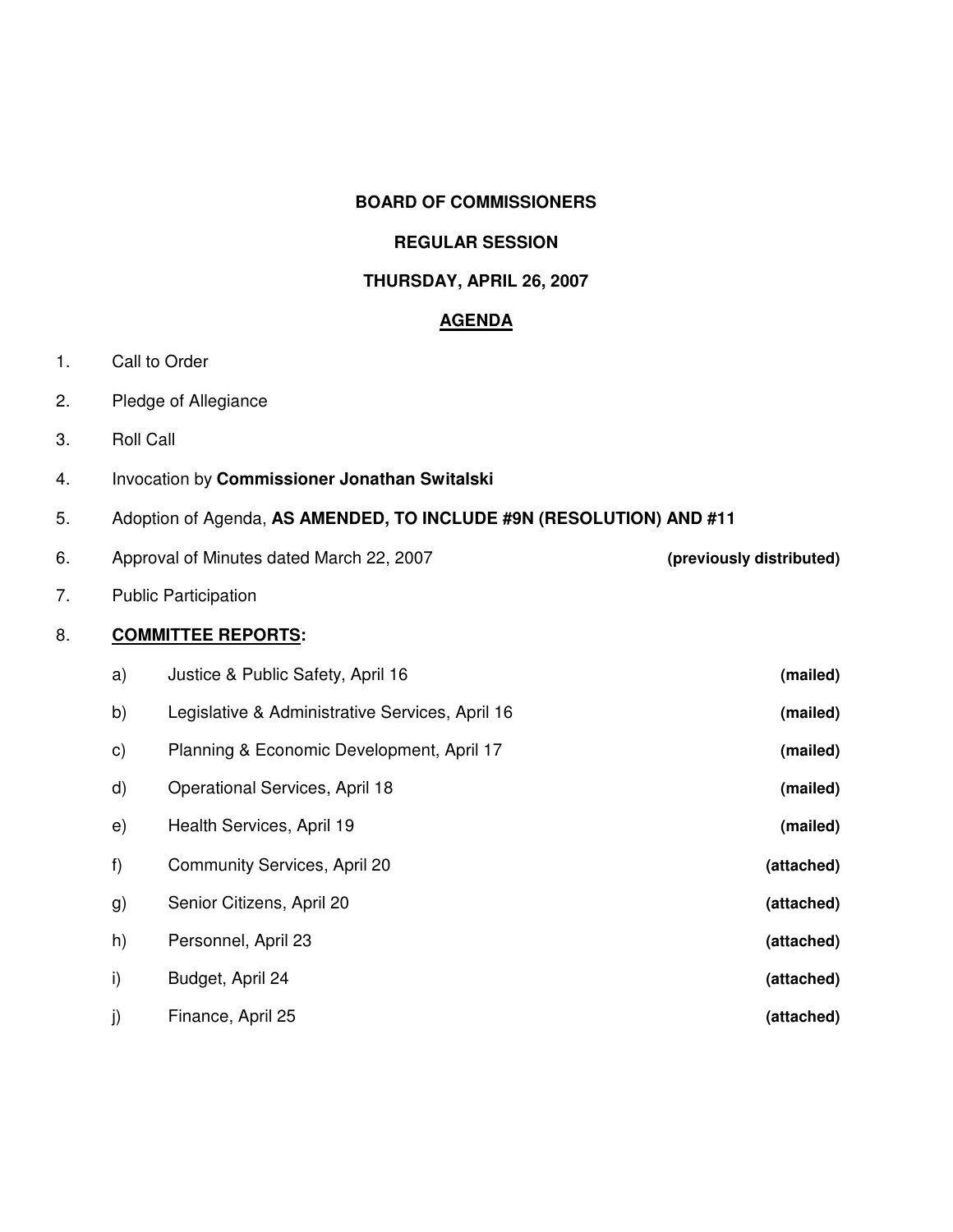## **BOARD OF COMMISSIONERS**

# **REGULAR SESSION**

# **THURSDAY, APRIL 26, 2007**

### **AGENDA**

- 1. Call to Order
- 2. Pledge of Allegiance
- 3. Roll Call
- 4. Invocation by **Commissioner Jonathan Switalski**
- 5. Adoption of Agenda, **AS AMENDED, TO INCLUDE #9N (RESOLUTION) AND #11**
- 6. Approval of Minutes dated March 22, 2007 **(previously distributed)**

## 7. Public Participation

# 8. **COMMITTEE REPORTS:**

| (mailed)   | Justice & Public Safety, April 16<br>a)               |  |
|------------|-------------------------------------------------------|--|
| (mailed)   | b)<br>Legislative & Administrative Services, April 16 |  |
| (mailed)   | Planning & Economic Development, April 17<br>C)       |  |
| (mailed)   | d)<br><b>Operational Services, April 18</b>           |  |
| (mailed)   | Health Services, April 19<br>e)                       |  |
| (attached) | f)<br><b>Community Services, April 20</b>             |  |
| (attached) | Senior Citizens, April 20<br>g)                       |  |
| (attached) | h)<br>Personnel, April 23                             |  |
| (attached) | i)<br>Budget, April 24                                |  |
| (attached) | j)<br>Finance, April 25                               |  |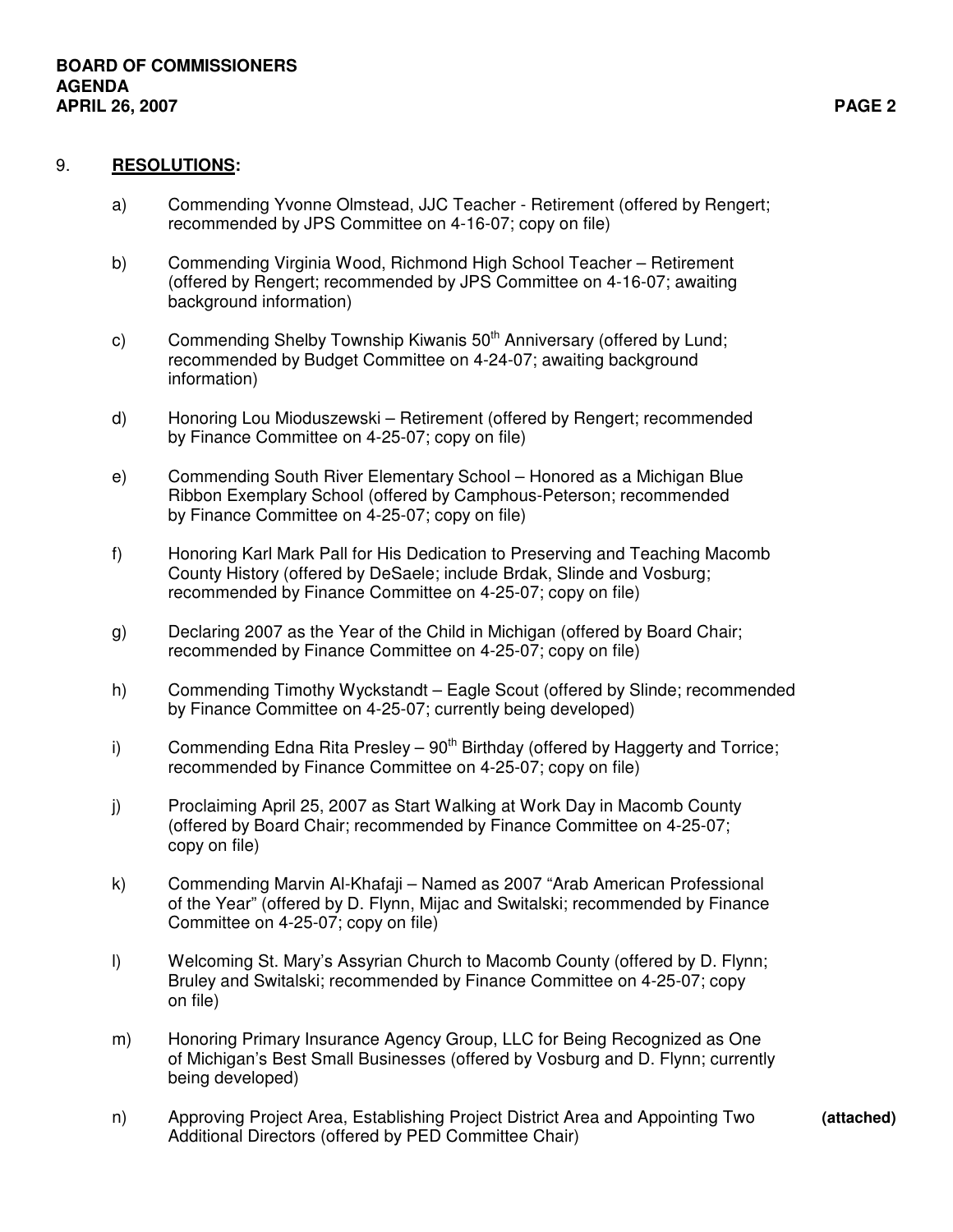### 9. **RESOLUTIONS:**

- a) Commending Yvonne Olmstead, JJC Teacher Retirement (offered by Rengert; recommended by JPS Committee on 4-16-07; copy on file)
- b) Commending Virginia Wood, Richmond High School Teacher Retirement (offered by Rengert; recommended by JPS Committee on 4-16-07; awaiting background information)
- c) Commending Shelby Township Kiwanis 50<sup>th</sup> Anniversary (offered by Lund; recommended by Budget Committee on 4-24-07; awaiting background information)
- d) Honoring Lou Mioduszewski Retirement (offered by Rengert; recommended by Finance Committee on 4-25-07; copy on file)
- e) Commending South River Elementary School Honored as a Michigan Blue Ribbon Exemplary School (offered by Camphous-Peterson; recommended by Finance Committee on 4-25-07; copy on file)
- f) Honoring Karl Mark Pall for His Dedication to Preserving and Teaching Macomb County History (offered by DeSaele; include Brdak, Slinde and Vosburg; recommended by Finance Committee on 4-25-07; copy on file)
- g) Declaring 2007 as the Year of the Child in Michigan (offered by Board Chair; recommended by Finance Committee on 4-25-07; copy on file)
- h) Commending Timothy Wyckstandt Eagle Scout (offered by Slinde; recommended by Finance Committee on 4-25-07; currently being developed)
- i) Commending Edna Rita Presley 90<sup>th</sup> Birthday (offered by Haggerty and Torrice; recommended by Finance Committee on 4-25-07; copy on file)
- j) Proclaiming April 25, 2007 as Start Walking at Work Day in Macomb County (offered by Board Chair; recommended by Finance Committee on 4-25-07; copy on file)
- k) Commending Marvin Al-Khafaji Named as 2007 "Arab American Professional of the Year" (offered by D. Flynn, Mijac and Switalski; recommended by Finance Committee on 4-25-07; copy on file)
- l) Welcoming St. Mary's Assyrian Church to Macomb County (offered by D. Flynn; Bruley and Switalski; recommended by Finance Committee on 4-25-07; copy on file)
- m) Honoring Primary Insurance Agency Group, LLC for Being Recognized as One of Michigan's Best Small Businesses (offered by Vosburg and D. Flynn; currently being developed)
- n) Approving Project Area, Establishing Project District Area and Appointing Two **(attached)** Additional Directors (offered by PED Committee Chair)